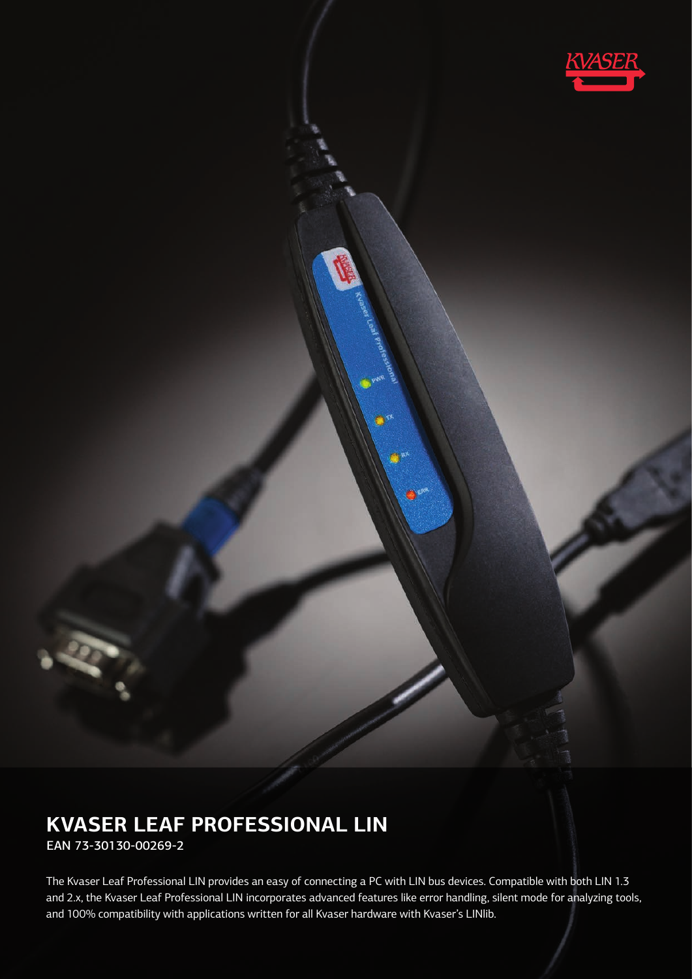

# **KVASER LEAF PROFESSIONAL LIN**

EAN 73-30130-00269-2

The Kvaser Leaf Professional LIN provides an easy of connecting a PC with LIN bus devices. Compatible with both LIN 1.3 and 2.x, the Kvaser Leaf Professional LIN incorporates advanced features like error handling, silent mode for analyzing tools, and 100% compatibility with applications written for all Kvaser hardware with Kvaser's LINlib.